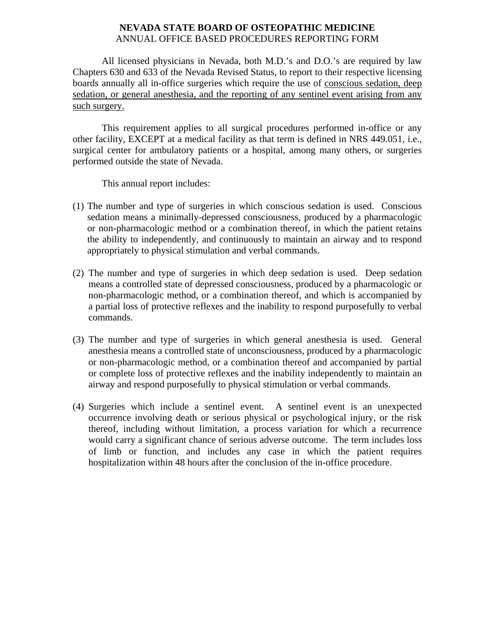## **NEVADA STATE BOARD OF OSTEOPATHIC MEDICINE**  ANNUAL OFFICE BASED PROCEDURES REPORTING FORM

 All licensed physicians in Nevada, both M.D.'s and D.O.'s are required by law Chapters 630 and 633 of the Nevada Revised Status, to report to their respective licensing boards annually all in-office surgeries which require the use of conscious sedation, deep sedation, or general anesthesia, and the reporting of any sentinel event arising from any such surgery.

 This requirement applies to all surgical procedures performed in-office or any other facility, EXCEPT at a medical facility as that term is defined in NRS 449.051, i.e., surgical center for ambulatory patients or a hospital, among many others, or surgeries performed outside the state of Nevada.

This annual report includes:

- (1) The number and type of surgeries in which conscious sedation is used. Conscious sedation means a minimally-depressed consciousness, produced by a pharmacologic or non-pharmacologic method or a combination thereof, in which the patient retains the ability to independently, and continuously to maintain an airway and to respond appropriately to physical stimulation and verbal commands.
- (2) The number and type of surgeries in which deep sedation is used. Deep sedation means a controlled state of depressed consciousness, produced by a pharmacologic or non-pharmacologic method, or a combination thereof, and which is accompanied by a partial loss of protective reflexes and the inability to respond purposefully to verbal commands.
- (3) The number and type of surgeries in which general anesthesia is used. General anesthesia means a controlled state of unconsciousness, produced by a pharmacologic or non-pharmacologic method, or a combination thereof and accompanied by partial or complete loss of protective reflexes and the inability independently to maintain an airway and respond purposefully to physical stimulation or verbal commands.
- (4) Surgeries which include a sentinel event. A sentinel event is an unexpected occurrence involving death or serious physical or psychological injury, or the risk thereof, including without limitation, a process variation for which a recurrence would carry a significant chance of serious adverse outcome. The term includes loss of limb or function, and includes any case in which the patient requires hospitalization within 48 hours after the conclusion of the in-office procedure.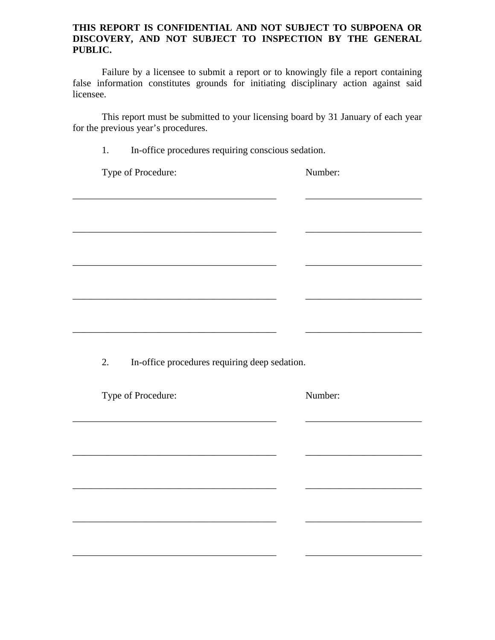## **THIS REPORT IS CONFIDENTIAL AND NOT SUBJECT TO SUBPOENA OR DISCOVERY, AND NOT SUBJECT TO INSPECTION BY THE GENERAL PUBLIC.**

Failure by a licensee to submit a report or to knowingly file a report containing false information constitutes grounds for initiating disciplinary action against said licensee.

 This report must be submitted to your licensing board by 31 January of each year for the previous year's procedures.

| Type of Procedure:                                                                                                    | Number: |
|-----------------------------------------------------------------------------------------------------------------------|---------|
|                                                                                                                       |         |
|                                                                                                                       |         |
| <u> 1989 - Johann Barbara, martin amerikan basar dan berasal dalam basar dalam basar dalam basar dalam basar dala</u> |         |
|                                                                                                                       |         |
|                                                                                                                       |         |
|                                                                                                                       |         |
|                                                                                                                       |         |
|                                                                                                                       |         |
|                                                                                                                       |         |
|                                                                                                                       |         |
|                                                                                                                       |         |
|                                                                                                                       |         |
| In-office procedures requiring deep sedation.                                                                         |         |
|                                                                                                                       |         |
|                                                                                                                       | Number: |
|                                                                                                                       |         |
|                                                                                                                       |         |
| 2.<br>Type of Procedure:                                                                                              |         |
|                                                                                                                       |         |
|                                                                                                                       |         |
|                                                                                                                       |         |
|                                                                                                                       |         |
|                                                                                                                       |         |
|                                                                                                                       |         |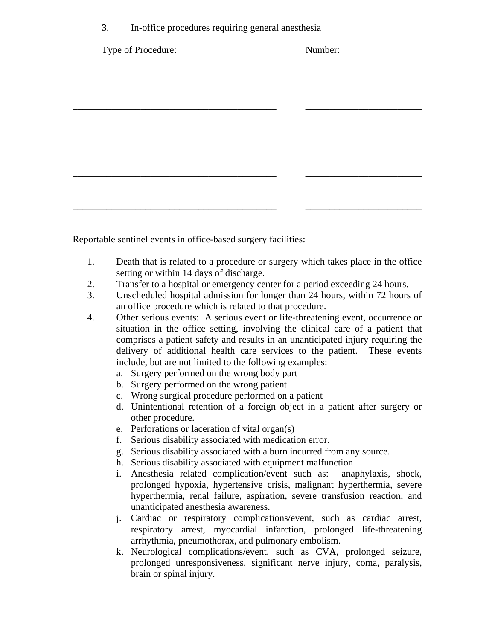| In-office procedures requiring general anesthesia | 3. |  |  |  |  |  |
|---------------------------------------------------|----|--|--|--|--|--|
|---------------------------------------------------|----|--|--|--|--|--|

| Type of Procedure: | Number: |
|--------------------|---------|
|                    |         |
|                    |         |
|                    |         |
|                    |         |
|                    |         |
|                    |         |
|                    |         |

Reportable sentinel events in office-based surgery facilities:

- 1. Death that is related to a procedure or surgery which takes place in the office setting or within 14 days of discharge.
- 2. Transfer to a hospital or emergency center for a period exceeding 24 hours.
- 3. Unscheduled hospital admission for longer than 24 hours, within 72 hours of an office procedure which is related to that procedure.
- 4. Other serious events: A serious event or life-threatening event, occurrence or situation in the office setting, involving the clinical care of a patient that comprises a patient safety and results in an unanticipated injury requiring the delivery of additional health care services to the patient. These events include, but are not limited to the following examples:
	- a. Surgery performed on the wrong body part
	- b. Surgery performed on the wrong patient
	- c. Wrong surgical procedure performed on a patient
	- d. Unintentional retention of a foreign object in a patient after surgery or other procedure.
	- e. Perforations or laceration of vital organ(s)
	- f. Serious disability associated with medication error.
	- g. Serious disability associated with a burn incurred from any source.
	- h. Serious disability associated with equipment malfunction
	- i. Anesthesia related complication/event such as: anaphylaxis, shock, prolonged hypoxia, hypertensive crisis, malignant hyperthermia, severe hyperthermia, renal failure, aspiration, severe transfusion reaction, and unanticipated anesthesia awareness.
	- j. Cardiac or respiratory complications/event, such as cardiac arrest, respiratory arrest, myocardial infarction, prolonged life-threatening arrhythmia, pneumothorax, and pulmonary embolism.
	- k. Neurological complications/event, such as CVA, prolonged seizure, prolonged unresponsiveness, significant nerve injury, coma, paralysis, brain or spinal injury.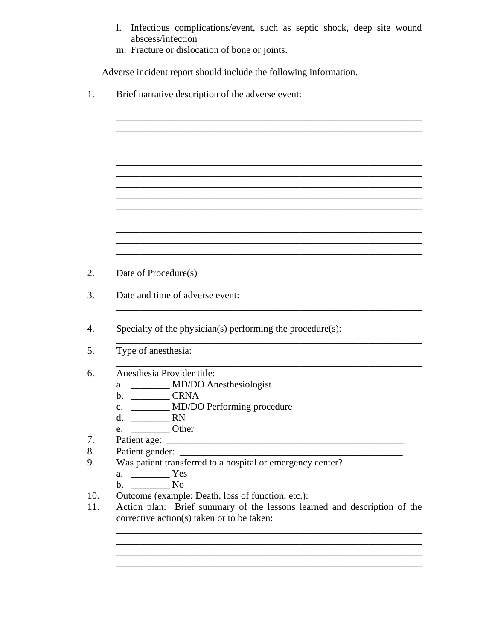1. Infectious complications/event, such as septic shock, deep site wound abscess/infection

m. Fracture or dislocation of bone or joints.

Adverse incident report should include the following information.

 $1.$ Brief narrative description of the adverse event:

- 2.
	- Date of Procedure(s)
	- $3.$ Date and time of adverse event: <u> 1989 - Jan James James James James James James James James James James James James James James James James Ja</u>
	- $4.$ Specialty of the physician(s) performing the procedure(s):
	- Type of anesthesia: 5.
	- Anesthesia Provider title: 6.
		- a. MD/DO Anesthesiologist
		-
		- c. \_\_\_\_\_\_\_\_\_ MD/DO Performing procedure
		- d.  $RN$
		- $e.$  Other
	- Patient age: 7.
	- 8. Patient gender:
	- 9. Was patient transferred to a hospital or emergency center?
		- - b. No
	- Outcome (example: Death, loss of function, etc.): 10.
	- 11. Action plan: Brief summary of the lessons learned and description of the corrective action(s) taken or to be taken: